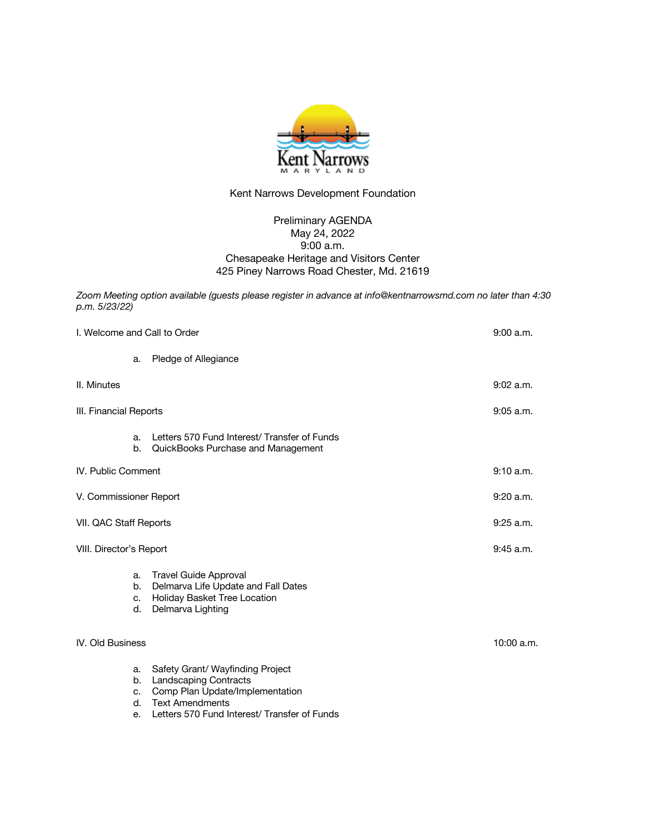

## Kent Narrows Development Foundation

## Preliminary AGENDA May 24, 2022 9:00 a.m. Chesapeake Heritage and Visitors Center 425 Piney Narrows Road Chester, Md. 21619

*Zoom Meeting option available (guests please register in advance at info@kentnarrowsmd.com no later than 4:30 p.m. 5/23/22)* 

| I. Welcome and Call to Order |                                                                                                                                                                               | 9:00 a.m.   |
|------------------------------|-------------------------------------------------------------------------------------------------------------------------------------------------------------------------------|-------------|
| a.                           | Pledge of Allegiance                                                                                                                                                          |             |
|                              |                                                                                                                                                                               | 9:02 a.m.   |
| III. Financial Reports       |                                                                                                                                                                               | $9:05$ a.m. |
| a.<br>b.                     | Letters 570 Fund Interest/Transfer of Funds<br>QuickBooks Purchase and Management                                                                                             |             |
| <b>IV.</b> Public Comment    |                                                                                                                                                                               | 9:10 a.m.   |
| V. Commissioner Report       |                                                                                                                                                                               | 9:20 a.m.   |
| VII. QAC Staff Reports       |                                                                                                                                                                               | $9:25$ a.m. |
| VIII. Director's Report      |                                                                                                                                                                               | $9:45$ a.m. |
| a.<br>b.<br>c.<br>d.         | <b>Travel Guide Approval</b><br>Delmarva Life Update and Fall Dates<br>Holiday Basket Tree Location<br>Delmarva Lighting                                                      |             |
| <b>IV. Old Business</b>      |                                                                                                                                                                               | 10:00 a.m.  |
| a.<br>b.<br>c.<br>d.<br>е.   | Safety Grant/ Wayfinding Project<br><b>Landscaping Contracts</b><br>Comp Plan Update/Implementation<br><b>Text Amendments</b><br>Letters 570 Fund Interest/ Transfer of Funds |             |
|                              |                                                                                                                                                                               |             |